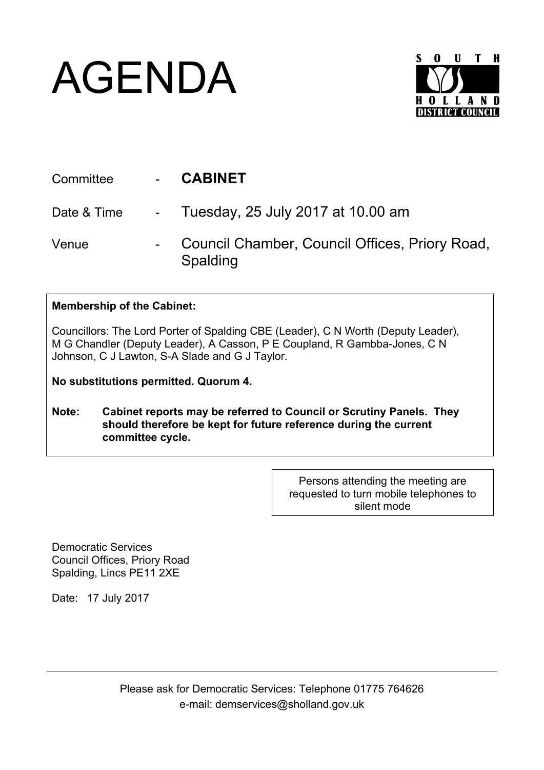## AGENDA



| Committee   | <b>CABINET</b>                                             |
|-------------|------------------------------------------------------------|
| Date & Time | - Tuesday, 25 July 2017 at 10.00 am                        |
| Venue       | Council Chamber, Council Offices, Priory Road,<br>Spalding |

## **Membership of the Cabinet:**

Councillors: The Lord Porter of Spalding CBE (Leader), C N Worth (Deputy Leader), M G Chandler (Deputy Leader), A Casson, P E Coupland, R Gambba-Jones, C N Johnson, C J Lawton, S-A Slade and G J Taylor.

**No substitutions permitted. Quorum 4.**

**Note: Cabinet reports may be referred to Council or Scrutiny Panels. They should therefore be kept for future reference during the current committee cycle.** 

> Persons attending the meeting are requested to turn mobile telephones to silent mode

Democratic Services Council Offices, Priory Road Spalding, Lincs PE11 2XE

Date: 17 July 2017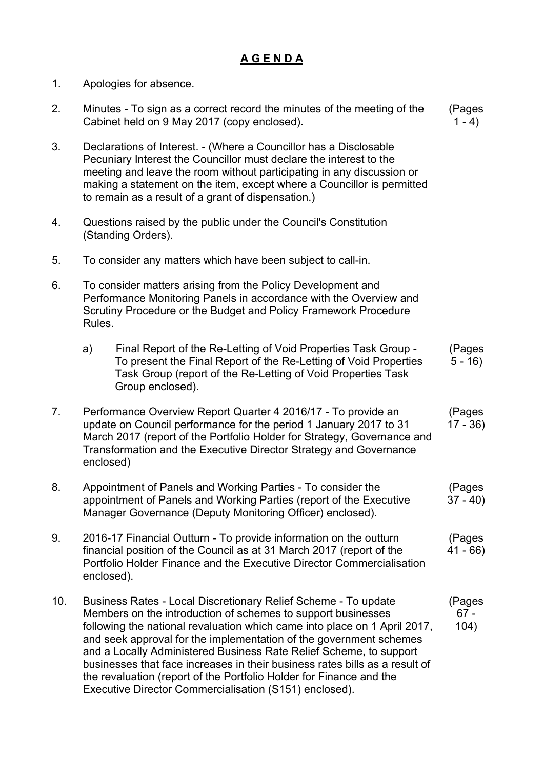## **A G E N D A**

- 1. Apologies for absence.
- 2. Minutes To sign as a correct record the minutes of the meeting of the Cabinet held on 9 May 2017 (copy enclosed). (Pages  $1 - 4$
- 3. Declarations of Interest. (Where a Councillor has a Disclosable Pecuniary Interest the Councillor must declare the interest to the meeting and leave the room without participating in any discussion or making a statement on the item, except where a Councillor is permitted to remain as a result of a grant of dispensation.)
- 4. Questions raised by the public under the Council's Constitution (Standing Orders).
- 5. To consider any matters which have been subject to call-in.
- 6. To consider matters arising from the Policy Development and Performance Monitoring Panels in accordance with the Overview and Scrutiny Procedure or the Budget and Policy Framework Procedure Rules.

| Final Report of the Re-Letting of Void Properties Task Group -   | (Pages   |
|------------------------------------------------------------------|----------|
| To present the Final Report of the Re-Letting of Void Properties | $5 - 16$ |
| Task Group (report of the Re-Letting of Void Properties Task     |          |
| Group enclosed).                                                 |          |
|                                                                  |          |

- 7. Performance Overview Report Quarter 4 2016/17 To provide an update on Council performance for the period 1 January 2017 to 31 March 2017 (report of the Portfolio Holder for Strategy, Governance and Transformation and the Executive Director Strategy and Governance enclosed) (Pages 17 - 36)
- 8. Appointment of Panels and Working Parties To consider the appointment of Panels and Working Parties (report of the Executive Manager Governance (Deputy Monitoring Officer) enclosed). (Pages  $37 - 40$
- 9. 2016-17 Financial Outturn To provide information on the outturn financial position of the Council as at 31 March 2017 (report of the Portfolio Holder Finance and the Executive Director Commercialisation enclosed). (Pages 41 - 66)
- 10. Business Rates Local Discretionary Relief Scheme To update Members on the introduction of schemes to support businesses following the national revaluation which came into place on 1 April 2017, and seek approval for the implementation of the government schemes and a Locally Administered Business Rate Relief Scheme, to support businesses that face increases in their business rates bills as a result of the revaluation (report of the Portfolio Holder for Finance and the Executive Director Commercialisation (S151) enclosed). (Pages 67 - 104)